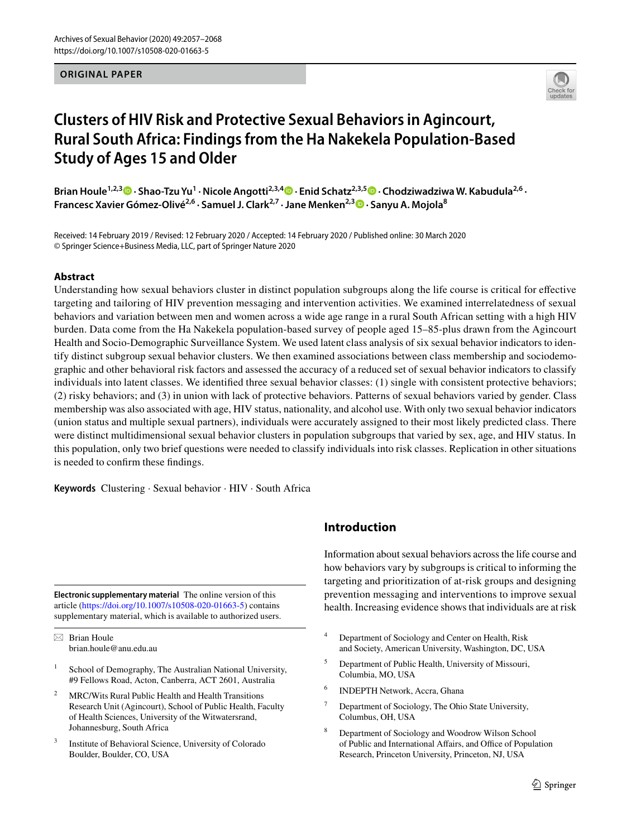### **ORIGINAL PAPER**



# **Clusters of HIV Risk and Protective Sexual Behaviors in Agincourt, Rural South Africa: Findings from the Ha Nakekela Population‑Based Study of Ages 15 and Older**

**Brian Houle1,2,3  [·](http://orcid.org/0000-0003-2157-3118) Shao‑Tzu Yu1 · Nicole Angotti2,3,4  [·](http://orcid.org/0000-0002-9206-5914) Enid Schatz2,3,5 · Chodziwadziwa W. Kabudula2,6 · Francesc Xavier Gómez‑Olivé2,6 · Samuel J. Clark2,7 · Jane Menken2,3  [·](http://orcid.org/0000-0002-0008-0325) Sanyu A. Mojola8**

Received: 14 February 2019 / Revised: 12 February 2020 / Accepted: 14 February 2020 / Published online: 30 March 2020 © Springer Science+Business Media, LLC, part of Springer Nature 2020

## **Abstract**

Understanding how sexual behaviors cluster in distinct population subgroups along the life course is critical for efective targeting and tailoring of HIV prevention messaging and intervention activities. We examined interrelatedness of sexual behaviors and variation between men and women across a wide age range in a rural South African setting with a high HIV burden. Data come from the Ha Nakekela population-based survey of people aged 15–85-plus drawn from the Agincourt Health and Socio-Demographic Surveillance System. We used latent class analysis of six sexual behavior indicators to identify distinct subgroup sexual behavior clusters. We then examined associations between class membership and sociodemographic and other behavioral risk factors and assessed the accuracy of a reduced set of sexual behavior indicators to classify individuals into latent classes. We identifed three sexual behavior classes: (1) single with consistent protective behaviors; (2) risky behaviors; and (3) in union with lack of protective behaviors. Patterns of sexual behaviors varied by gender. Class membership was also associated with age, HIV status, nationality, and alcohol use. With only two sexual behavior indicators (union status and multiple sexual partners), individuals were accurately assigned to their most likely predicted class. There were distinct multidimensional sexual behavior clusters in population subgroups that varied by sex, age, and HIV status. In this population, only two brief questions were needed to classify individuals into risk classes. Replication in other situations is needed to confrm these fndings.

**Keywords** Clustering · Sexual behavior · HIV · South Africa

**Electronic supplementary material** The online version of this article [\(https://doi.org/10.1007/s10508-020-01663-5\)](https://doi.org/10.1007/s10508-020-01663-5) contains supplementary material, which is available to authorized users.

 $\boxtimes$  Brian Houle brian.houle@anu.edu.au

- School of Demography, The Australian National University, #9 Fellows Road, Acton, Canberra, ACT 2601, Australia
- <sup>2</sup> MRC/Wits Rural Public Health and Health Transitions Research Unit (Agincourt), School of Public Health, Faculty of Health Sciences, University of the Witwatersrand, Johannesburg, South Africa
- Institute of Behavioral Science, University of Colorado Boulder, Boulder, CO, USA

## **Introduction**

Information about sexual behaviors across the life course and how behaviors vary by subgroups is critical to informing the targeting and prioritization of at-risk groups and designing prevention messaging and interventions to improve sexual health. Increasing evidence shows that individuals are at risk

- <sup>4</sup> Department of Sociology and Center on Health, Risk and Society, American University, Washington, DC, USA
- <sup>5</sup> Department of Public Health, University of Missouri, Columbia, MO, USA
- <sup>6</sup> INDEPTH Network, Accra, Ghana
- <sup>7</sup> Department of Sociology, The Ohio State University, Columbus, OH, USA
- <sup>8</sup> Department of Sociology and Woodrow Wilson School of Public and International Affairs, and Office of Population Research, Princeton University, Princeton, NJ, USA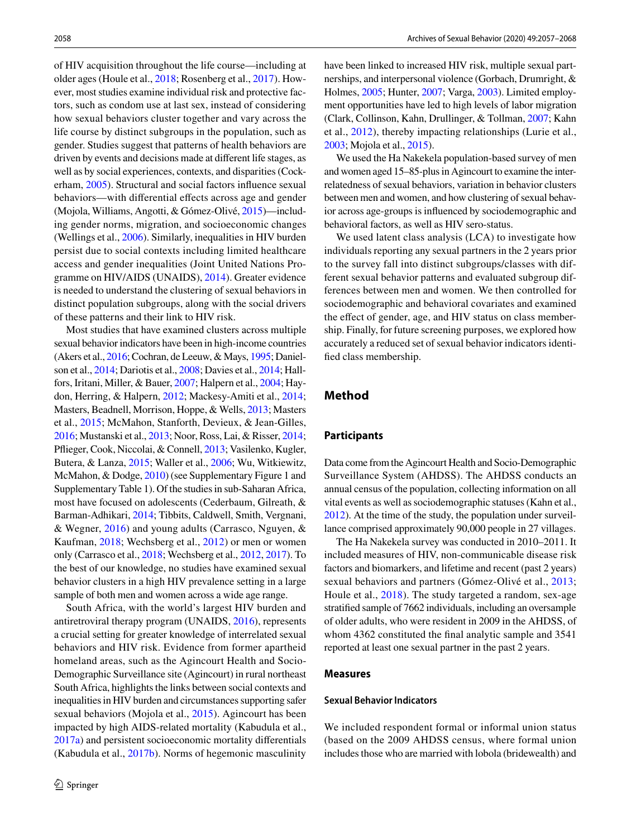of HIV acquisition throughout the life course—including at older ages (Houle et al., [2018](#page-10-0); Rosenberg et al., [2017\)](#page-11-0). However, most studies examine individual risk and protective factors, such as condom use at last sex, instead of considering how sexual behaviors cluster together and vary across the life course by distinct subgroups in the population, such as gender. Studies suggest that patterns of health behaviors are driven by events and decisions made at diferent life stages, as well as by social experiences, contexts, and disparities (Cockerham, [2005](#page-9-0)). Structural and social factors infuence sexual behaviors—with diferential efects across age and gender (Mojola, Williams, Angotti, & Gómez-Olivé, [2015](#page-10-1))—including gender norms, migration, and socioeconomic changes (Wellings et al., [2006](#page-11-1)). Similarly, inequalities in HIV burden persist due to social contexts including limited healthcare access and gender inequalities (Joint United Nations Programme on HIV/AIDS (UNAIDS), [2014](#page-10-2)). Greater evidence is needed to understand the clustering of sexual behaviors in distinct population subgroups, along with the social drivers of these patterns and their link to HIV risk.

Most studies that have examined clusters across multiple sexual behavior indicators have been in high-income countries (Akers et al., [2016](#page-9-1); Cochran, de Leeuw, & Mays, [1995;](#page-9-2) Danielson et al., [2014;](#page-9-3) Dariotis et al., [2008;](#page-9-4) Davies et al., [2014](#page-9-5); Hallfors, Iritani, Miller, & Bauer, [2007](#page-10-3); Halpern et al., [2004](#page-10-4); Haydon, Herring, & Halpern, [2012;](#page-10-5) Mackesy-Amiti et al., [2014](#page-10-6); Masters, Beadnell, Morrison, Hoppe, & Wells, [2013](#page-10-7); Masters et al., [2015](#page-10-8); McMahon, Stanforth, Devieux, & Jean-Gilles, [2016;](#page-10-9) Mustanski et al., [2013;](#page-10-10) Noor, Ross, Lai, & Risser, [2014](#page-11-2); Pfieger, Cook, Niccolai, & Connell, [2013](#page-11-3); Vasilenko, Kugler, Butera, & Lanza, [2015](#page-11-4); Waller et al., [2006;](#page-11-5) Wu, Witkiewitz, McMahon, & Dodge, [2010](#page-11-6)) (see Supplementary Figure 1 and Supplementary Table 1). Of the studies in sub-Saharan Africa, most have focused on adolescents (Cederbaum, Gilreath, & Barman-Adhikari, [2014](#page-9-6); Tibbits, Caldwell, Smith, Vergnani, & Wegner, [2016](#page-11-7)) and young adults (Carrasco, Nguyen, & Kaufman, [2018](#page-9-7); Wechsberg et al., [2012\)](#page-11-8) or men or women only (Carrasco et al., [2018;](#page-9-7) Wechsberg et al., [2012,](#page-11-8) [2017\)](#page-11-9). To the best of our knowledge, no studies have examined sexual behavior clusters in a high HIV prevalence setting in a large sample of both men and women across a wide age range.

South Africa, with the world's largest HIV burden and antiretroviral therapy program (UNAIDS, [2016](#page-11-10)), represents a crucial setting for greater knowledge of interrelated sexual behaviors and HIV risk. Evidence from former apartheid homeland areas, such as the Agincourt Health and Socio-Demographic Surveillance site (Agincourt) in rural northeast South Africa, highlights the links between social contexts and inequalities in HIV burden and circumstances supporting safer sexual behaviors (Mojola et al., [2015\)](#page-10-1). Agincourt has been impacted by high AIDS-related mortality (Kabudula et al., [2017a\)](#page-10-11) and persistent socioeconomic mortality diferentials (Kabudula et al., [2017b\)](#page-10-12). Norms of hegemonic masculinity

have been linked to increased HIV risk, multiple sexual partnerships, and interpersonal violence (Gorbach, Drumright, & Holmes, [2005](#page-10-13); Hunter, [2007;](#page-10-14) Varga, [2003](#page-11-11)). Limited employment opportunities have led to high levels of labor migration (Clark, Collinson, Kahn, Drullinger, & Tollman, [2007;](#page-9-8) Kahn et al., [2012\)](#page-10-15), thereby impacting relationships (Lurie et al., [2003;](#page-10-16) Mojola et al., [2015](#page-10-1)).

We used the Ha Nakekela population-based survey of men and women aged 15–85-plus in Agincourt to examine the interrelatedness of sexual behaviors, variation in behavior clusters between men and women, and how clustering of sexual behavior across age-groups is infuenced by sociodemographic and behavioral factors, as well as HIV sero-status.

We used latent class analysis (LCA) to investigate how individuals reporting any sexual partners in the 2 years prior to the survey fall into distinct subgroups/classes with different sexual behavior patterns and evaluated subgroup differences between men and women. We then controlled for sociodemographic and behavioral covariates and examined the effect of gender, age, and HIV status on class membership. Finally, for future screening purposes, we explored how accurately a reduced set of sexual behavior indicators identifed class membership.

## **Method**

#### **Participants**

Data come from the Agincourt Health and Socio-Demographic Surveillance System (AHDSS). The AHDSS conducts an annual census of the population, collecting information on all vital events as well as sociodemographic statuses (Kahn et al., [2012\)](#page-10-15). At the time of the study, the population under surveillance comprised approximately 90,000 people in 27 villages.

The Ha Nakekela survey was conducted in 2010–2011. It included measures of HIV, non-communicable disease risk factors and biomarkers, and lifetime and recent (past 2 years) sexual behaviors and partners (Gómez-Olivé et al., [2013](#page-10-17); Houle et al., [2018](#page-10-0)). The study targeted a random, sex-age stratifed sample of 7662 individuals, including an oversample of older adults, who were resident in 2009 in the AHDSS, of whom 4362 constituted the fnal analytic sample and 3541 reported at least one sexual partner in the past 2 years.

#### **Measures**

#### **Sexual Behavior Indicators**

We included respondent formal or informal union status (based on the 2009 AHDSS census, where formal union includes those who are married with lobola (bridewealth) and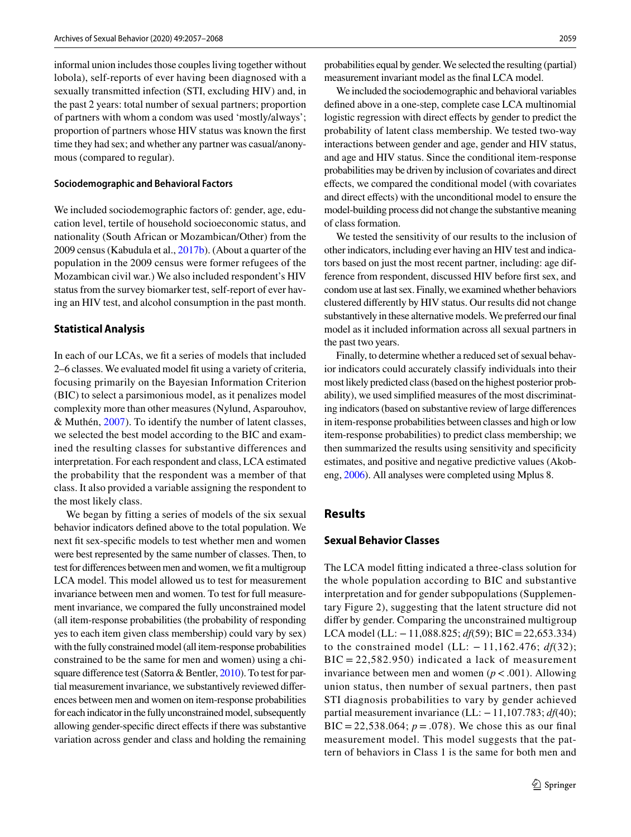informal union includes those couples living together without lobola), self-reports of ever having been diagnosed with a sexually transmitted infection (STI, excluding HIV) and, in the past 2 years: total number of sexual partners; proportion of partners with whom a condom was used 'mostly/always'; proportion of partners whose HIV status was known the frst time they had sex; and whether any partner was casual/anonymous (compared to regular).

#### **Sociodemographic and Behavioral Factors**

We included sociodemographic factors of: gender, age, education level, tertile of household socioeconomic status, and nationality (South African or Mozambican/Other) from the 2009 census (Kabudula et al., [2017b\)](#page-10-12). (About a quarter of the population in the 2009 census were former refugees of the Mozambican civil war.) We also included respondent's HIV status from the survey biomarker test, self-report of ever having an HIV test, and alcohol consumption in the past month.

#### **Statistical Analysis**

In each of our LCAs, we ft a series of models that included 2–6 classes. We evaluated model ft using a variety of criteria, focusing primarily on the Bayesian Information Criterion (BIC) to select a parsimonious model, as it penalizes model complexity more than other measures (Nylund, Asparouhov, & Muthén, [2007](#page-11-12)). To identify the number of latent classes, we selected the best model according to the BIC and examined the resulting classes for substantive differences and interpretation. For each respondent and class, LCA estimated the probability that the respondent was a member of that class. It also provided a variable assigning the respondent to the most likely class.

We began by fitting a series of models of the six sexual behavior indicators defned above to the total population. We next ft sex-specifc models to test whether men and women were best represented by the same number of classes. Then, to test for diferences between men and women, we ft a multigroup LCA model. This model allowed us to test for measurement invariance between men and women. To test for full measurement invariance, we compared the fully unconstrained model (all item-response probabilities (the probability of responding yes to each item given class membership) could vary by sex) with the fully constrained model (all item-response probabilities constrained to be the same for men and women) using a chisquare diference test (Satorra & Bentler, [2010\)](#page-11-13). To test for partial measurement invariance, we substantively reviewed diferences between men and women on item-response probabilities for each indicator in the fully unconstrained model, subsequently allowing gender-specifc direct efects if there was substantive variation across gender and class and holding the remaining probabilities equal by gender. We selected the resulting (partial) measurement invariant model as the fnal LCA model.

We included the sociodemographic and behavioral variables defned above in a one-step, complete case LCA multinomial logistic regression with direct effects by gender to predict the probability of latent class membership. We tested two-way interactions between gender and age, gender and HIV status, and age and HIV status. Since the conditional item-response probabilities may be driven by inclusion of covariates and direct efects, we compared the conditional model (with covariates and direct efects) with the unconditional model to ensure the model-building process did not change the substantive meaning of class formation.

We tested the sensitivity of our results to the inclusion of other indicators, including ever having an HIV test and indicators based on just the most recent partner, including: age difference from respondent, discussed HIV before frst sex, and condom use at last sex. Finally, we examined whether behaviors clustered diferently by HIV status. Our results did not change substantively in these alternative models. We preferred our fnal model as it included information across all sexual partners in the past two years.

Finally, to determine whether a reduced set of sexual behavior indicators could accurately classify individuals into their most likely predicted class (based on the highest posterior probability), we used simplifed measures of the most discriminating indicators (based on substantive review of large diferences in item-response probabilities between classes and high or low item-response probabilities) to predict class membership; we then summarized the results using sensitivity and specifcity estimates, and positive and negative predictive values (Akobeng, [2006](#page-9-9)). All analyses were completed using Mplus 8.

## **Results**

#### **Sexual Behavior Classes**

The LCA model ftting indicated a three-class solution for the whole population according to BIC and substantive interpretation and for gender subpopulations (Supplementary Figure 2), suggesting that the latent structure did not difer by gender. Comparing the unconstrained multigroup LCA model (LL: −11,088.825; *df*(59); BIC=22,653.334) to the constrained model (LL: − 11,162.476; *df*(32);  $BIC = 22,582.950$  indicated a lack of measurement invariance between men and women  $(p < .001)$ . Allowing union status, then number of sexual partners, then past STI diagnosis probabilities to vary by gender achieved partial measurement invariance (LL: −11,107.783; *df*(40);  $BIC = 22,538.064; p = .078$ . We chose this as our final measurement model. This model suggests that the pattern of behaviors in Class 1 is the same for both men and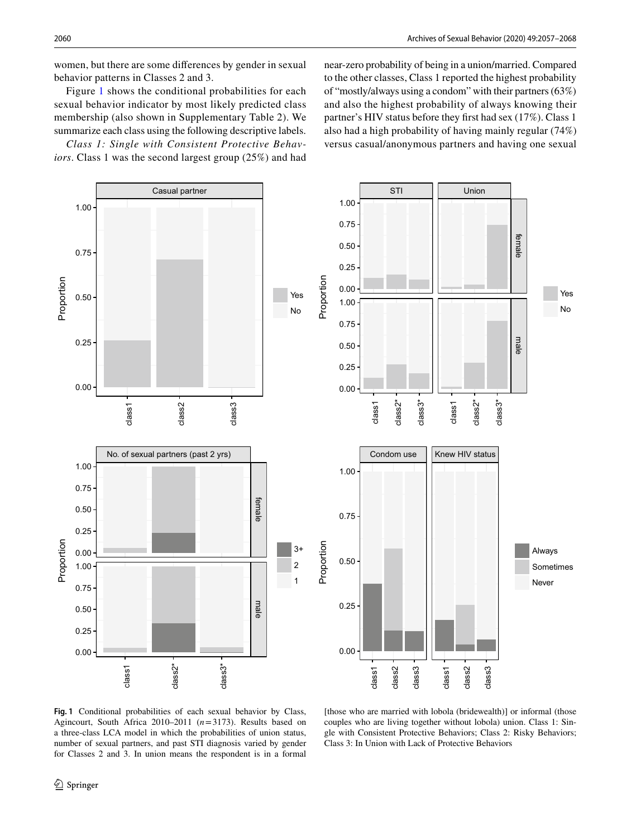women, but there are some diferences by gender in sexual behavior patterns in Classes 2 and 3.

Figure [1](#page-3-0) shows the conditional probabilities for each sexual behavior indicator by most likely predicted class membership (also shown in Supplementary Table 2). We summarize each class using the following descriptive labels.

*Class 1: Single with Consistent Protective Behaviors*. Class 1 was the second largest group (25%) and had near-zero probability of being in a union/married. Compared to the other classes, Class 1 reported the highest probability of "mostly/always using a condom" with their partners (63%) and also the highest probability of always knowing their partner's HIV status before they frst had sex (17%). Class 1 also had a high probability of having mainly regular (74%) versus casual/anonymous partners and having one sexual



<span id="page-3-0"></span>**Fig. 1** Conditional probabilities of each sexual behavior by Class, Agincourt, South Africa 2010–2011 (*n*=3173). Results based on a three-class LCA model in which the probabilities of union status, number of sexual partners, and past STI diagnosis varied by gender for Classes 2 and 3. In union means the respondent is in a formal

[those who are married with lobola (bridewealth)] or informal (those couples who are living together without lobola) union. Class 1: Single with Consistent Protective Behaviors; Class 2: Risky Behaviors; Class 3: In Union with Lack of Protective Behaviors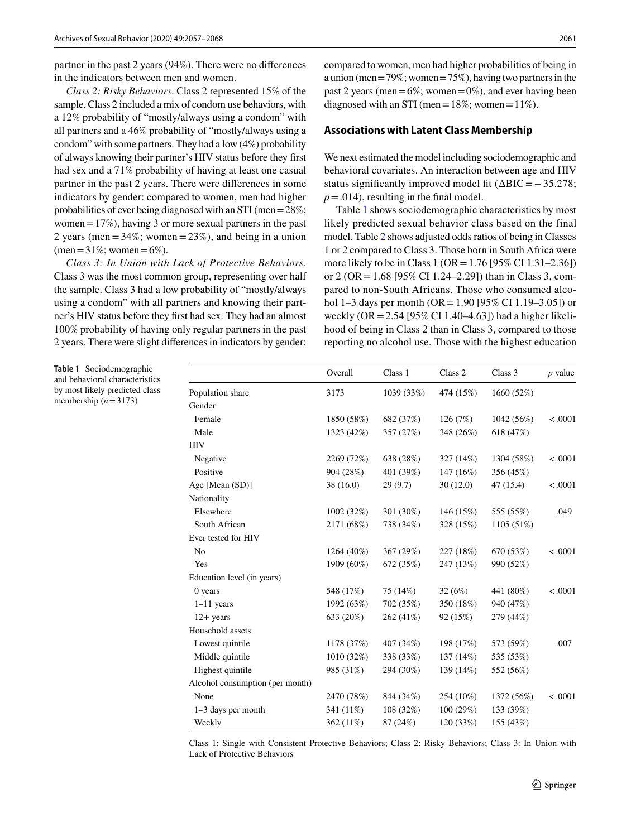partner in the past 2 years (94%). There were no diferences in the indicators between men and women.

*Class 2: Risky Behaviors*. Class 2 represented 15% of the sample. Class 2 included a mix of condom use behaviors, with a 12% probability of "mostly/always using a condom" with all partners and a 46% probability of "mostly/always using a condom" with some partners. They had a low (4%) probability of always knowing their partner's HIV status before they frst had sex and a 71% probability of having at least one casual partner in the past 2 years. There were diferences in some indicators by gender: compared to women, men had higher probabilities of ever being diagnosed with an STI (men=28%; women  $=17\%$ ), having 3 or more sexual partners in the past 2 years (men =  $34\%$ ; women =  $23\%$ ), and being in a union  $(men=31\%; women=6\%).$ 

*Class 3: In Union with Lack of Protective Behaviors*. Class 3 was the most common group, representing over half the sample. Class 3 had a low probability of "mostly/always using a condom" with all partners and knowing their partner's HIV status before they frst had sex. They had an almost 100% probability of having only regular partners in the past 2 years. There were slight diferences in indicators by gender:

compared to women, men had higher probabilities of being in a union (men  $=79\%$ ; women  $=75\%$ ), having two partners in the past 2 years (men =  $6\%$ ; women =  $0\%$ ), and ever having been diagnosed with an STI (men =  $18\%$ ; women =  $11\%$ ).

#### **Associations with Latent Class Membership**

We next estimated the model including sociodemographic and behavioral covariates. An interaction between age and HIV status significantly improved model fit  $(\Delta BIC = -35.278)$ ;  $p = .014$ , resulting in the final model.

Table [1](#page-4-0) shows sociodemographic characteristics by most likely predicted sexual behavior class based on the final model. Table [2](#page-5-0) shows adjusted odds ratios of being in Classes 1 or 2 compared to Class 3. Those born in South Africa were more likely to be in Class 1 (OR = 1.76 [95% CI 1.31–2.36]) or 2 (OR = 1.68 [95% CI 1.24–2.29]) than in Class 3, compared to non-South Africans. Those who consumed alcohol 1–3 days per month (OR = 1.90 [95% CI 1.19–3.05]) or weekly (OR=2.54 [95% CI 1.40–4.63]) had a higher likelihood of being in Class 2 than in Class 3, compared to those reporting no alcohol use. Those with the highest education

<span id="page-4-0"></span>**Table 1** Sociodemographic and behavioral characteristics by most likely predicted class membership (*n*=3173)

|                                 | Overall    | Class 1    | Class 2   | Class 3    | $p$ value |
|---------------------------------|------------|------------|-----------|------------|-----------|
| Population share                | 3173       | 1039 (33%) | 474 (15%) | 1660 (52%) |           |
| Gender                          |            |            |           |            |           |
| Female                          | 1850 (58%) | 682 (37%)  | 126 (7%)  | 1042 (56%) | < .0001   |
| Male                            | 1323 (42%) | 357 (27%)  | 348 (26%) | 618 (47%)  |           |
| HIV                             |            |            |           |            |           |
| Negative                        | 2269 (72%) | 638 (28%)  | 327 (14%) | 1304 (58%) | < .0001   |
| Positive                        | 904 (28%)  | 401 (39%)  | 147 (16%) | 356 (45%)  |           |
| Age [Mean (SD)]                 | 38(16.0)   | 29(9.7)    | 30(12.0)  | 47(15.4)   | < .0001   |
| Nationality                     |            |            |           |            |           |
| Elsewhere                       | 1002 (32%) | 301 (30%)  | 146 (15%) | 555 (55%)  | .049      |
| South African                   | 2171 (68%) | 738 (34%)  | 328 (15%) | 1105 (51%) |           |
| Ever tested for HIV             |            |            |           |            |           |
| No                              | 1264 (40%) | 367 (29%)  | 227 (18%) | 670 (53%)  | < .0001   |
| Yes                             | 1909 (60%) | 672 (35%)  | 247 (13%) | 990 (52%)  |           |
| Education level (in years)      |            |            |           |            |           |
| 0 years                         | 548 (17%)  | 75 (14%)   | 32(6%)    | 441 (80%)  | < .0001   |
| $1-11$ years                    | 1992 (63%) | 702 (35%)  | 350 (18%) | 940 (47%)  |           |
| $12+$ years                     | 633 (20%)  | 262 (41%)  | 92 (15%)  | 279 (44%)  |           |
| Household assets                |            |            |           |            |           |
| Lowest quintile                 | 1178 (37%) | 407 (34%)  | 198 (17%) | 573 (59%)  | .007      |
| Middle quintile                 | 1010 (32%) | 338 (33%)  | 137 (14%) | 535 (53%)  |           |
| Highest quintile                | 985 (31%)  | 294 (30%)  | 139 (14%) | 552 (56%)  |           |
| Alcohol consumption (per month) |            |            |           |            |           |
| None                            | 2470 (78%) | 844 (34%)  | 254 (10%) | 1372 (56%) | < .0001   |
| $1-3$ days per month            | 341 (11%)  | 108 (32%)  | 100(29%)  | 133 (39%)  |           |
| Weekly                          | 362 (11%)  | 87 (24%)   | 120 (33%) | 155 (43%)  |           |
|                                 |            |            |           |            |           |

Class 1: Single with Consistent Protective Behaviors; Class 2: Risky Behaviors; Class 3: In Union with Lack of Protective Behaviors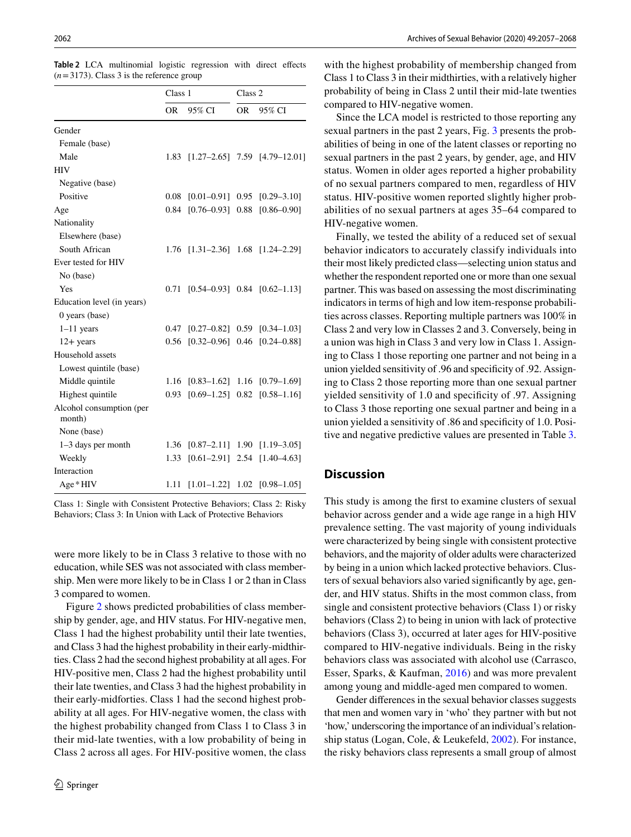|                                    | Class 1 |                 | Class <sub>2</sub> |                                      |
|------------------------------------|---------|-----------------|--------------------|--------------------------------------|
|                                    | OR.     | 95% CI          | OR.                | 95% CI                               |
| Gender                             |         |                 |                    |                                      |
| Female (base)                      |         |                 |                    |                                      |
| Male                               | 1.83    |                 |                    | $[1.27-2.65]$ 7.59 $[4.79-12.01]$    |
| <b>HIV</b>                         |         |                 |                    |                                      |
| Negative (base)                    |         |                 |                    |                                      |
| Positive                           | 0.08    | $[0.01 - 0.91]$ |                    | $0.95$ $[0.29-3.10]$                 |
| Age                                | 0.84    | $[0.76 - 0.93]$ | 0.88               | $[0.86 - 0.90]$                      |
| Nationality                        |         |                 |                    |                                      |
| Elsewhere (base)                   |         |                 |                    |                                      |
| South African                      | 1.76    |                 |                    | $[1.31 - 2.36]$ 1.68 $[1.24 - 2.29]$ |
| Ever tested for HIV                |         |                 |                    |                                      |
| No (base)                          |         |                 |                    |                                      |
| Yes                                | 0.71    |                 |                    | $[0.54 - 0.93]$ 0.84 $[0.62 - 1.13]$ |
| Education level (in years)         |         |                 |                    |                                      |
| $0$ years (base)                   |         |                 |                    |                                      |
| $1-11$ years                       | 0.47    | $[0.27 - 0.82]$ |                    | $0.59$ $[0.34 - 1.03]$               |
| $12 + years$                       | 0.56    |                 |                    | $[0.32 - 0.96]$ 0.46 $[0.24 - 0.88]$ |
| Household assets                   |         |                 |                    |                                      |
| Lowest quintile (base)             |         |                 |                    |                                      |
| Middle quintile                    | 1.16    |                 |                    | $[0.83-1.62]$ 1.16 $[0.79-1.69]$     |
| Highest quintile                   | 0.93    | $[0.69 - 1.25]$ | 0.82               | $[0.58 - 1.16]$                      |
| Alcohol consumption (per<br>month) |         |                 |                    |                                      |
| None (base)                        |         |                 |                    |                                      |
| $1-3$ days per month               | 1.36    |                 |                    | $[0.87-2.11]$ 1.90 $[1.19-3.05]$     |
| Weekly                             | 1.33    | $[0.61 - 2.91]$ |                    | 2.54 [1.40-4.63]                     |
| Interaction                        |         |                 |                    |                                      |
| Age * HIV                          | 1.11    | $[1.01 - 1.22]$ | 1.02               | $[0.98 - 1.05]$                      |

<span id="page-5-0"></span>**Table 2** LCA multinomial logistic regression with direct efects  $(n=3173)$ . Class 3 is the reference group

Class 1: Single with Consistent Protective Behaviors; Class 2: Risky Behaviors; Class 3: In Union with Lack of Protective Behaviors

were more likely to be in Class 3 relative to those with no education, while SES was not associated with class membership. Men were more likely to be in Class 1 or 2 than in Class 3 compared to women.

Figure [2](#page-6-0) shows predicted probabilities of class membership by gender, age, and HIV status. For HIV-negative men, Class 1 had the highest probability until their late twenties, and Class 3 had the highest probability in their early-midthirties. Class 2 had the second highest probability at all ages. For HIV-positive men, Class 2 had the highest probability until their late twenties, and Class 3 had the highest probability in their early-midforties. Class 1 had the second highest probability at all ages. For HIV-negative women, the class with the highest probability changed from Class 1 to Class 3 in their mid-late twenties, with a low probability of being in Class 2 across all ages. For HIV-positive women, the class

with the highest probability of membership changed from Class 1 to Class 3 in their midthirties, with a relatively higher probability of being in Class 2 until their mid-late twenties compared to HIV-negative women.

Since the LCA model is restricted to those reporting any sexual partners in the past 2 years, Fig. [3](#page-7-0) presents the probabilities of being in one of the latent classes or reporting no sexual partners in the past 2 years, by gender, age, and HIV status. Women in older ages reported a higher probability of no sexual partners compared to men, regardless of HIV status. HIV-positive women reported slightly higher probabilities of no sexual partners at ages 35–64 compared to HIV-negative women.

Finally, we tested the ability of a reduced set of sexual behavior indicators to accurately classify individuals into their most likely predicted class—selecting union status and whether the respondent reported one or more than one sexual partner. This was based on assessing the most discriminating indicators in terms of high and low item-response probabilities across classes. Reporting multiple partners was 100% in Class 2 and very low in Classes 2 and 3. Conversely, being in a union was high in Class 3 and very low in Class 1. Assigning to Class 1 those reporting one partner and not being in a union yielded sensitivity of .96 and specifcity of .92. Assigning to Class 2 those reporting more than one sexual partner yielded sensitivity of 1.0 and specifcity of .97. Assigning to Class 3 those reporting one sexual partner and being in a union yielded a sensitivity of .86 and specifcity of 1.0. Positive and negative predictive values are presented in Table [3.](#page-7-1)

## **Discussion**

This study is among the frst to examine clusters of sexual behavior across gender and a wide age range in a high HIV prevalence setting. The vast majority of young individuals were characterized by being single with consistent protective behaviors, and the majority of older adults were characterized by being in a union which lacked protective behaviors. Clusters of sexual behaviors also varied signifcantly by age, gender, and HIV status. Shifts in the most common class, from single and consistent protective behaviors (Class 1) or risky behaviors (Class 2) to being in union with lack of protective behaviors (Class 3), occurred at later ages for HIV-positive compared to HIV-negative individuals. Being in the risky behaviors class was associated with alcohol use (Carrasco, Esser, Sparks, & Kaufman, [2016](#page-9-10)) and was more prevalent among young and middle-aged men compared to women.

Gender diferences in the sexual behavior classes suggests that men and women vary in 'who' they partner with but not 'how,' underscoring the importance of an individual's relationship status (Logan, Cole, & Leukefeld, [2002](#page-10-18)). For instance, the risky behaviors class represents a small group of almost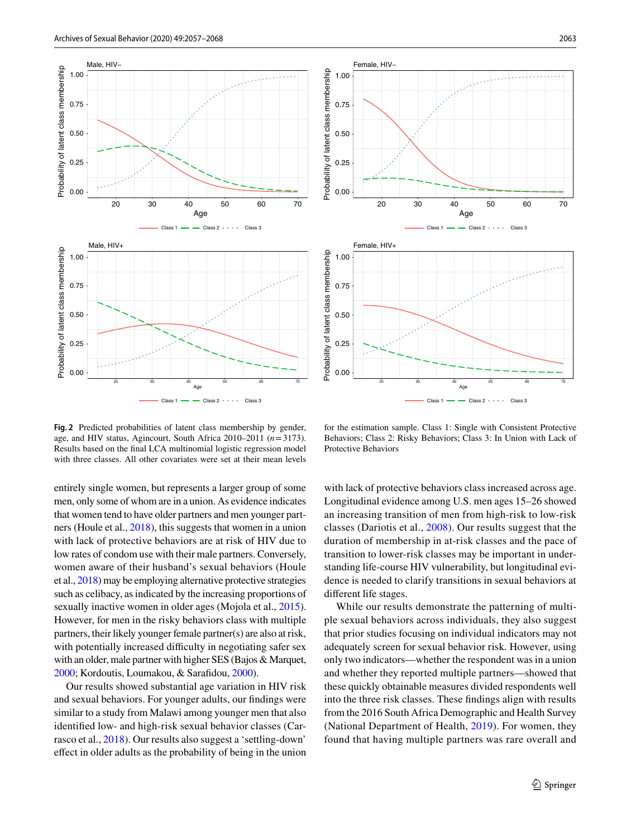



<span id="page-6-0"></span>**Fig. 2** Predicted probabilities of latent class membership by gender, age, and HIV status, Agincourt, South Africa 2010–2011 (*n*=3173). Results based on the fnal LCA multinomial logistic regression model with three classes. All other covariates were set at their mean levels

entirely single women, but represents a larger group of some men, only some of whom are in a union. As evidence indicates that women tend to have older partners and men younger partners (Houle et al., [2018](#page-10-0)), this suggests that women in a union with lack of protective behaviors are at risk of HIV due to low rates of condom use with their male partners. Conversely, women aware of their husband's sexual behaviors (Houle et al., [2018\)](#page-10-0) may be employing alternative protective strategies such as celibacy, as indicated by the increasing proportions of sexually inactive women in older ages (Mojola et al., [2015](#page-10-1)). However, for men in the risky behaviors class with multiple partners, their likely younger female partner(s) are also at risk, with potentially increased difficulty in negotiating safer sex with an older, male partner with higher SES (Bajos & Marquet,

Our results showed substantial age variation in HIV risk and sexual behaviors. For younger adults, our fndings were similar to a study from Malawi among younger men that also identifed low- and high-risk sexual behavior classes (Carrasco et al., [2018\)](#page-9-7). Our results also suggest a 'settling-down' efect in older adults as the probability of being in the union

[2000;](#page-9-11) Kordoutis, Loumakou, & Sarafdou, [2000\)](#page-10-19).

for the estimation sample. Class 1: Single with Consistent Protective Behaviors; Class 2: Risky Behaviors; Class 3: In Union with Lack of Protective Behaviors

with lack of protective behaviors class increased across age. Longitudinal evidence among U.S. men ages 15–26 showed an increasing transition of men from high-risk to low-risk classes (Dariotis et al., [2008](#page-9-4)). Our results suggest that the duration of membership in at-risk classes and the pace of transition to lower-risk classes may be important in understanding life-course HIV vulnerability, but longitudinal evidence is needed to clarify transitions in sexual behaviors at diferent life stages.

While our results demonstrate the patterning of multiple sexual behaviors across individuals, they also suggest that prior studies focusing on individual indicators may not adequately screen for sexual behavior risk. However, using only two indicators—whether the respondent was in a union and whether they reported multiple partners—showed that these quickly obtainable measures divided respondents well into the three risk classes. These fndings align with results from the 2016 South Africa Demographic and Health Survey (National Department of Health, [2019](#page-10-20)). For women, they found that having multiple partners was rare overall and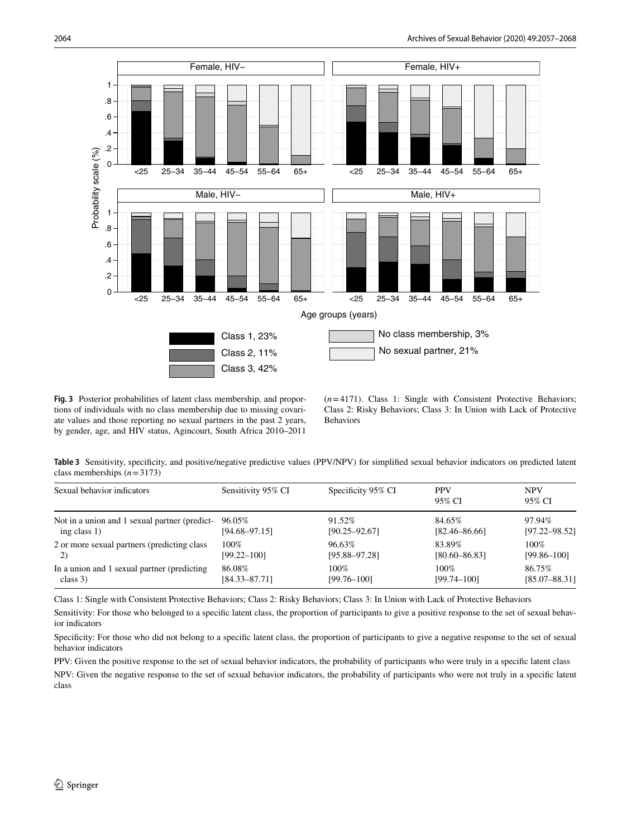

<span id="page-7-0"></span>**Fig. 3** Posterior probabilities of latent class membership, and proportions of individuals with no class membership due to missing covariate values and those reporting no sexual partners in the past 2 years, by gender, age, and HIV status, Agincourt, South Africa 2010–2011

(*n*=4171). Class 1: Single with Consistent Protective Behaviors; Class 2: Risky Behaviors; Class 3: In Union with Lack of Protective Behaviors

<span id="page-7-1"></span>**Table 3** Sensitivity, specifcity, and positive/negative predictive values (PPV/NPV) for simplifed sexual behavior indicators on predicted latent class memberships (*n*=3173)

| Sexual behavior indicators                    | Sensitivity 95% CI | Specificity 95% CI | <b>PPV</b><br>95% CI | <b>NPV</b><br>95% CI |
|-----------------------------------------------|--------------------|--------------------|----------------------|----------------------|
| Not in a union and 1 sexual partner (predict- | 96.05%             | 91.52%             | 84.65%               | 97.94%               |
| ing class $1$ )                               | $[94.68 - 97.15]$  | $[90.25 - 92.67]$  | $[82.46 - 86.66]$    | $[97.22 - 98.52]$    |
| 2 or more sexual partners (predicting class)  | 100%               | 96.63%             | 83.89%               | 100%                 |
| 2)                                            | $[99.22 - 100]$    | $[95.88 - 97.28]$  | $[80.60 - 86.83]$    | $[99.86 - 100]$      |
| In a union and 1 sexual partner (predicting   | 86.08%             | 100%               | 100%                 | 86.75%               |
| class $3)$                                    | $[84.33 - 87.71]$  | $[99.76 - 100]$    | $[99.74 - 100]$      | $[85.07 - 88.31]$    |

Class 1: Single with Consistent Protective Behaviors; Class 2: Risky Behaviors; Class 3: In Union with Lack of Protective Behaviors

Sensitivity: For those who belonged to a specifc latent class, the proportion of participants to give a positive response to the set of sexual behavior indicators

Specifcity: For those who did not belong to a specifc latent class, the proportion of participants to give a negative response to the set of sexual behavior indicators

PPV: Given the positive response to the set of sexual behavior indicators, the probability of participants who were truly in a specifc latent class

NPV: Given the negative response to the set of sexual behavior indicators, the probability of participants who were not truly in a specifc latent class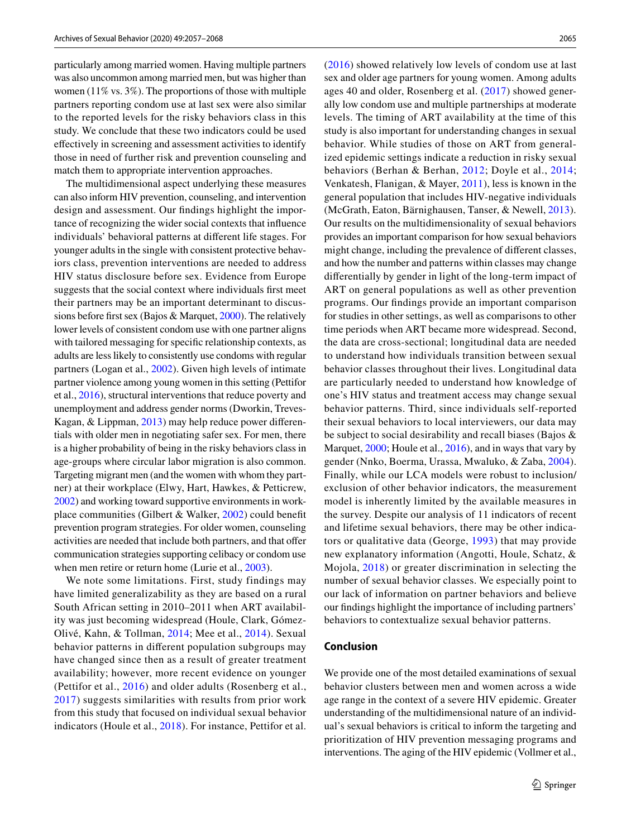particularly among married women. Having multiple partners was also uncommon among married men, but was higher than women (11% vs. 3%). The proportions of those with multiple partners reporting condom use at last sex were also similar to the reported levels for the risky behaviors class in this study. We conclude that these two indicators could be used efectively in screening and assessment activities to identify those in need of further risk and prevention counseling and match them to appropriate intervention approaches.

The multidimensional aspect underlying these measures can also inform HIV prevention, counseling, and intervention design and assessment. Our fndings highlight the importance of recognizing the wider social contexts that infuence individuals' behavioral patterns at diferent life stages. For younger adults in the single with consistent protective behaviors class, prevention interventions are needed to address HIV status disclosure before sex. Evidence from Europe suggests that the social context where individuals frst meet their partners may be an important determinant to discussions before frst sex (Bajos & Marquet, [2000](#page-9-11)). The relatively lower levels of consistent condom use with one partner aligns with tailored messaging for specifc relationship contexts, as adults are less likely to consistently use condoms with regular partners (Logan et al., [2002](#page-10-18)). Given high levels of intimate partner violence among young women in this setting (Pettifor et al., [2016](#page-11-14)), structural interventions that reduce poverty and unemployment and address gender norms (Dworkin, Treves-Kagan, & Lippman, [2013\)](#page-10-21) may help reduce power diferentials with older men in negotiating safer sex. For men, there is a higher probability of being in the risky behaviors class in age-groups where circular labor migration is also common. Targeting migrant men (and the women with whom they partner) at their workplace (Elwy, Hart, Hawkes, & Petticrew, [2002](#page-10-22)) and working toward supportive environments in workplace communities (Gilbert & Walker, [2002](#page-10-23)) could beneft prevention program strategies. For older women, counseling activities are needed that include both partners, and that offer communication strategies supporting celibacy or condom use when men retire or return home (Lurie et al., [2003](#page-10-16)).

We note some limitations. First, study findings may have limited generalizability as they are based on a rural South African setting in 2010–2011 when ART availability was just becoming widespread (Houle, Clark, Gómez-Olivé, Kahn, & Tollman, [2014;](#page-10-24) Mee et al., [2014](#page-10-25)). Sexual behavior patterns in diferent population subgroups may have changed since then as a result of greater treatment availability; however, more recent evidence on younger (Pettifor et al., [2016\)](#page-11-14) and older adults (Rosenberg et al., [2017](#page-11-0)) suggests similarities with results from prior work from this study that focused on individual sexual behavior indicators (Houle et al., [2018\)](#page-10-0). For instance, Pettifor et al. ([2016](#page-11-14)) showed relatively low levels of condom use at last sex and older age partners for young women. Among adults ages 40 and older, Rosenberg et al. [\(2017](#page-11-0)) showed generally low condom use and multiple partnerships at moderate levels. The timing of ART availability at the time of this study is also important for understanding changes in sexual behavior. While studies of those on ART from generalized epidemic settings indicate a reduction in risky sexual behaviors (Berhan & Berhan, [2012;](#page-9-12) Doyle et al., [2014](#page-9-13); Venkatesh, Flanigan, & Mayer, [2011\)](#page-11-15), less is known in the general population that includes HIV-negative individuals (McGrath, Eaton, Bärnighausen, Tanser, & Newell, [2013](#page-10-26)). Our results on the multidimensionality of sexual behaviors provides an important comparison for how sexual behaviors might change, including the prevalence of diferent classes, and how the number and patterns within classes may change diferentially by gender in light of the long-term impact of ART on general populations as well as other prevention programs. Our fndings provide an important comparison for studies in other settings, as well as comparisons to other time periods when ART became more widespread. Second, the data are cross-sectional; longitudinal data are needed to understand how individuals transition between sexual behavior classes throughout their lives. Longitudinal data are particularly needed to understand how knowledge of one's HIV status and treatment access may change sexual behavior patterns. Third, since individuals self-reported their sexual behaviors to local interviewers, our data may be subject to social desirability and recall biases (Bajos & Marquet, [2000](#page-9-11); Houle et al., [2016\)](#page-10-27), and in ways that vary by gender (Nnko, Boerma, Urassa, Mwaluko, & Zaba, [2004](#page-10-28)). Finally, while our LCA models were robust to inclusion/ exclusion of other behavior indicators, the measurement model is inherently limited by the available measures in the survey. Despite our analysis of 11 indicators of recent and lifetime sexual behaviors, there may be other indicators or qualitative data (George, [1993](#page-10-29)) that may provide new explanatory information (Angotti, Houle, Schatz, & Mojola, [2018\)](#page-9-14) or greater discrimination in selecting the number of sexual behavior classes. We especially point to our lack of information on partner behaviors and believe our fndings highlight the importance of including partners' behaviors to contextualize sexual behavior patterns.

#### **Conclusion**

We provide one of the most detailed examinations of sexual behavior clusters between men and women across a wide age range in the context of a severe HIV epidemic. Greater understanding of the multidimensional nature of an individual's sexual behaviors is critical to inform the targeting and prioritization of HIV prevention messaging programs and interventions. The aging of the HIV epidemic (Vollmer et al.,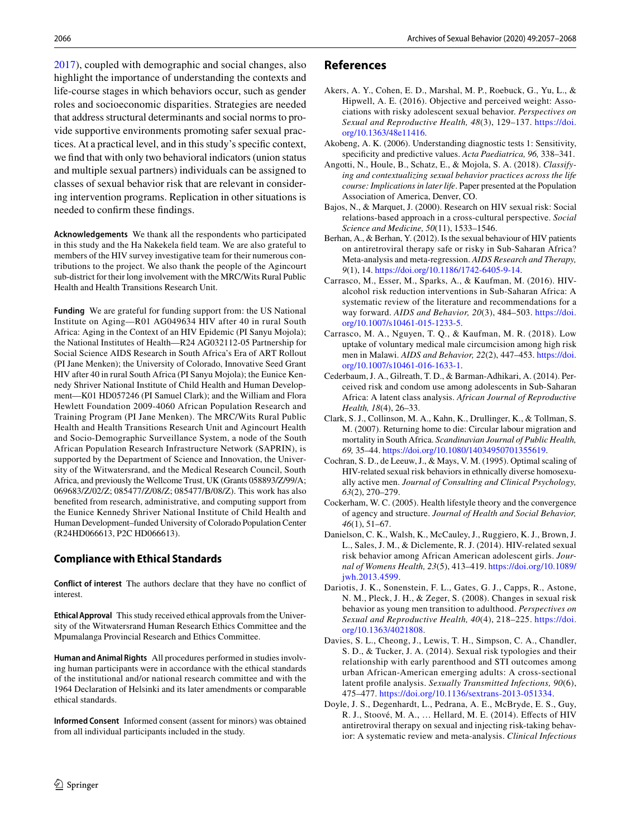[2017](#page-11-16)), coupled with demographic and social changes, also highlight the importance of understanding the contexts and life-course stages in which behaviors occur, such as gender roles and socioeconomic disparities. Strategies are needed that address structural determinants and social norms to provide supportive environments promoting safer sexual practices. At a practical level, and in this study's specifc context, we fnd that with only two behavioral indicators (union status and multiple sexual partners) individuals can be assigned to classes of sexual behavior risk that are relevant in considering intervention programs. Replication in other situations is needed to confrm these fndings.

**Acknowledgements** We thank all the respondents who participated in this study and the Ha Nakekela feld team. We are also grateful to members of the HIV survey investigative team for their numerous contributions to the project. We also thank the people of the Agincourt sub-district for their long involvement with the MRC/Wits Rural Public Health and Health Transitions Research Unit.

**Funding** We are grateful for funding support from: the US National Institute on Aging—R01 AG049634 HIV after 40 in rural South Africa: Aging in the Context of an HIV Epidemic (PI Sanyu Mojola); the National Institutes of Health—R24 AG032112-05 Partnership for Social Science AIDS Research in South Africa's Era of ART Rollout (PI Jane Menken); the University of Colorado, Innovative Seed Grant HIV after 40 in rural South Africa (PI Sanyu Mojola); the Eunice Kennedy Shriver National Institute of Child Health and Human Development—K01 HD057246 (PI Samuel Clark); and the William and Flora Hewlett Foundation 2009-4060 African Population Research and Training Program (PI Jane Menken). The MRC/Wits Rural Public Health and Health Transitions Research Unit and Agincourt Health and Socio-Demographic Surveillance System, a node of the South African Population Research Infrastructure Network (SAPRIN), is supported by the Department of Science and Innovation, the University of the Witwatersrand, and the Medical Research Council, South Africa, and previously the Wellcome Trust, UK (Grants 058893/Z/99/A; 069683/Z/02/Z; 085477/Z/08/Z; 085477/B/08/Z). This work has also benefted from research, administrative, and computing support from the Eunice Kennedy Shriver National Institute of Child Health and Human Development–funded University of Colorado Population Center (R24HD066613, P2C HD066613).

## **Compliance with Ethical Standards**

**Conflict of interest** The authors declare that they have no confict of interest.

**Ethical Approval** This study received ethical approvals from the University of the Witwatersrand Human Research Ethics Committee and the Mpumalanga Provincial Research and Ethics Committee.

**Human and Animal Rights** All procedures performed in studies involving human participants were in accordance with the ethical standards of the institutional and/or national research committee and with the 1964 Declaration of Helsinki and its later amendments or comparable ethical standards.

**Informed Consent** Informed consent (assent for minors) was obtained from all individual participants included in the study.

## **References**

- <span id="page-9-1"></span>Akers, A. Y., Cohen, E. D., Marshal, M. P., Roebuck, G., Yu, L., & Hipwell, A. E. (2016). Objective and perceived weight: Associations with risky adolescent sexual behavior. *Perspectives on Sexual and Reproductive Health, 48*(3), 129–137. [https://doi.](https://doi.org/10.1363/48e11416) [org/10.1363/48e11416](https://doi.org/10.1363/48e11416).
- <span id="page-9-9"></span>Akobeng, A. K. (2006). Understanding diagnostic tests 1: Sensitivity, specifcity and predictive values. *Acta Paediatrica, 96,* 338–341.
- <span id="page-9-14"></span>Angotti, N., Houle, B., Schatz, E., & Mojola, S. A. (2018). *Classifying and contextualizing sexual behavior practices across the life course: Implications in later life*. Paper presented at the Population Association of America, Denver, CO.
- <span id="page-9-11"></span>Bajos, N., & Marquet, J. (2000). Research on HIV sexual risk: Social relations-based approach in a cross-cultural perspective. *Social Science and Medicine, 50*(11), 1533–1546.
- <span id="page-9-12"></span>Berhan, A., & Berhan, Y. (2012). Is the sexual behaviour of HIV patients on antiretroviral therapy safe or risky in Sub-Saharan Africa? Meta-analysis and meta-regression. *AIDS Research and Therapy, 9*(1), 14.<https://doi.org/10.1186/1742-6405-9-14>.
- <span id="page-9-10"></span>Carrasco, M., Esser, M., Sparks, A., & Kaufman, M. (2016). HIValcohol risk reduction interventions in Sub-Saharan Africa: A systematic review of the literature and recommendations for a way forward. *AIDS and Behavior, 20*(3), 484–503. [https://doi.](https://doi.org/10.1007/s10461-015-1233-5) [org/10.1007/s10461-015-1233-5.](https://doi.org/10.1007/s10461-015-1233-5)
- <span id="page-9-7"></span>Carrasco, M. A., Nguyen, T. Q., & Kaufman, M. R. (2018). Low uptake of voluntary medical male circumcision among high risk men in Malawi. *AIDS and Behavior, 22*(2), 447–453. [https://doi.](https://doi.org/10.1007/s10461-016-1633-1) [org/10.1007/s10461-016-1633-1.](https://doi.org/10.1007/s10461-016-1633-1)
- <span id="page-9-6"></span>Cederbaum, J. A., Gilreath, T. D., & Barman-Adhikari, A. (2014). Perceived risk and condom use among adolescents in Sub-Saharan Africa: A latent class analysis. *African Journal of Reproductive Health, 18*(4), 26–33.
- <span id="page-9-8"></span>Clark, S. J., Collinson, M. A., Kahn, K., Drullinger, K., & Tollman, S. M. (2007). Returning home to die: Circular labour migration and mortality in South Africa. *Scandinavian Journal of Public Health, 69,* 35–44.<https://doi.org/10.1080/14034950701355619>.
- <span id="page-9-2"></span>Cochran, S. D., de Leeuw, J., & Mays, V. M. (1995). Optimal scaling of HIV-related sexual risk behaviors in ethnically diverse homosexually active men. *Journal of Consulting and Clinical Psychology, 63*(2), 270–279.
- <span id="page-9-0"></span>Cockerham, W. C. (2005). Health lifestyle theory and the convergence of agency and structure. *Journal of Health and Social Behavior, 46*(1), 51–67.
- <span id="page-9-3"></span>Danielson, C. K., Walsh, K., McCauley, J., Ruggiero, K. J., Brown, J. L., Sales, J. M., & Diclemente, R. J. (2014). HIV-related sexual risk behavior among African American adolescent girls. *Journal of Womens Health, 23*(5), 413–419. [https://doi.org/10.1089/](https://doi.org/10.1089/jwh.2013.4599) [jwh.2013.4599](https://doi.org/10.1089/jwh.2013.4599).
- <span id="page-9-4"></span>Dariotis, J. K., Sonenstein, F. L., Gates, G. J., Capps, R., Astone, N. M., Pleck, J. H., & Zeger, S. (2008). Changes in sexual risk behavior as young men transition to adulthood. *Perspectives on Sexual and Reproductive Health, 40*(4), 218–225. [https://doi.](https://doi.org/10.1363/4021808) [org/10.1363/4021808.](https://doi.org/10.1363/4021808)
- <span id="page-9-5"></span>Davies, S. L., Cheong, J., Lewis, T. H., Simpson, C. A., Chandler, S. D., & Tucker, J. A. (2014). Sexual risk typologies and their relationship with early parenthood and STI outcomes among urban African-American emerging adults: A cross-sectional latent profle analysis. *Sexually Transmitted Infections, 90*(6), 475–477.<https://doi.org/10.1136/sextrans-2013-051334>.
- <span id="page-9-13"></span>Doyle, J. S., Degenhardt, L., Pedrana, A. E., McBryde, E. S., Guy, R. J., Stoové, M. A., … Hellard, M. E. (2014). Efects of HIV antiretroviral therapy on sexual and injecting risk-taking behavior: A systematic review and meta-analysis. *Clinical Infectious*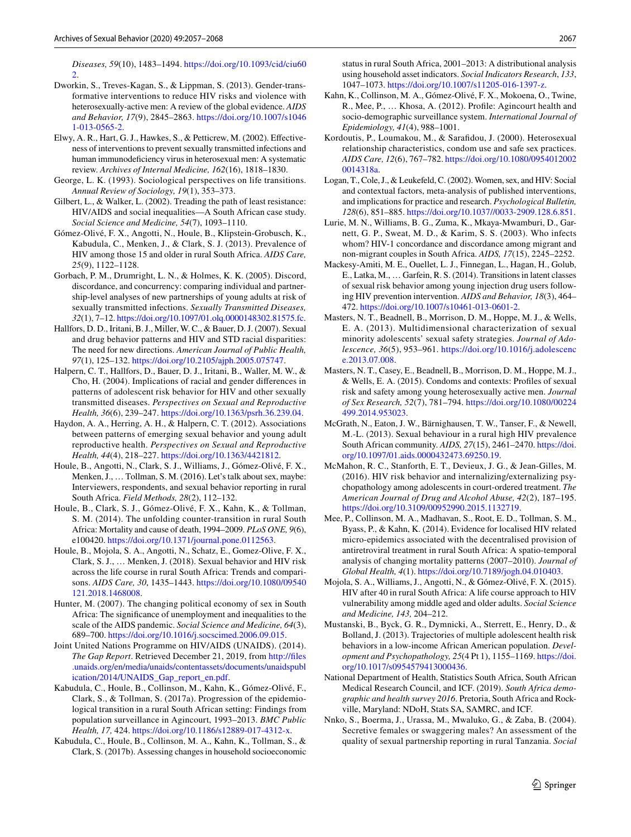*Diseases, 59*(10), 1483–1494. [https://doi.org/10.1093/cid/ciu60](https://doi.org/10.1093/cid/ciu602) [2](https://doi.org/10.1093/cid/ciu602).

- <span id="page-10-21"></span>Dworkin, S., Treves-Kagan, S., & Lippman, S. (2013). Gender-transformative interventions to reduce HIV risks and violence with heterosexually-active men: A review of the global evidence. *AIDS and Behavior, 17*(9), 2845–2863. [https://doi.org/10.1007/s1046](https://doi.org/10.1007/s10461-013-0565-2) [1-013-0565-2](https://doi.org/10.1007/s10461-013-0565-2).
- <span id="page-10-22"></span>Elwy, A. R., Hart, G. J., Hawkes, S., & Petticrew, M. (2002). Efectiveness of interventions to prevent sexually transmitted infections and human immunodeficiency virus in heterosexual men: A systematic review. *Archives of Internal Medicine, 162*(16), 1818–1830.
- <span id="page-10-29"></span>George, L. K. (1993). Sociological perspectives on life transitions. *Annual Review of Sociology, 19*(1), 353–373.
- <span id="page-10-23"></span>Gilbert, L., & Walker, L. (2002). Treading the path of least resistance: HIV/AIDS and social inequalities—A South African case study. *Social Science and Medicine, 54*(7), 1093–1110.
- <span id="page-10-17"></span>Gómez-Olivé, F. X., Angotti, N., Houle, B., Klipstein-Grobusch, K., Kabudula, C., Menken, J., & Clark, S. J. (2013). Prevalence of HIV among those 15 and older in rural South Africa. *AIDS Care, 25*(9), 1122–1128.
- <span id="page-10-13"></span>Gorbach, P. M., Drumright, L. N., & Holmes, K. K. (2005). Discord, discordance, and concurrency: comparing individual and partnership-level analyses of new partnerships of young adults at risk of sexually transmitted infections. *Sexually Transmitted Diseases, 32*(1), 7–12. [https://doi.org/10.1097/01.olq.0000148302.81575.fc.](https://doi.org/10.1097/01.olq.0000148302.81575.fc)
- <span id="page-10-3"></span>Hallfors, D. D., Iritani, B. J., Miller, W. C., & Bauer, D. J. (2007). Sexual and drug behavior patterns and HIV and STD racial disparities: The need for new directions. *American Journal of Public Health, 97*(1), 125–132. [https://doi.org/10.2105/ajph.2005.075747.](https://doi.org/10.2105/ajph.2005.075747)
- <span id="page-10-4"></span>Halpern, C. T., Hallfors, D., Bauer, D. J., Iritani, B., Waller, M. W., & Cho, H. (2004). Implications of racial and gender diferences in patterns of adolescent risk behavior for HIV and other sexually transmitted diseases. *Perspectives on Sexual and Reproductive Health, 36*(6), 239–247. [https://doi.org/10.1363/psrh.36.239.04.](https://doi.org/10.1363/psrh.36.239.04)
- <span id="page-10-5"></span>Haydon, A. A., Herring, A. H., & Halpern, C. T. (2012). Associations between patterns of emerging sexual behavior and young adult reproductive health. *Perspectives on Sexual and Reproductive Health, 44*(4), 218–227.<https://doi.org/10.1363/4421812>.
- <span id="page-10-27"></span>Houle, B., Angotti, N., Clark, S. J., Williams, J., Gómez-Olivé, F. X., Menken, J., … Tollman, S. M. (2016). Let's talk about sex, maybe: Interviewers, respondents, and sexual behavior reporting in rural South Africa. *Field Methods, 28*(2), 112–132.
- <span id="page-10-24"></span>Houle, B., Clark, S. J., Gómez-Olivé, F. X., Kahn, K., & Tollman, S. M. (2014). The unfolding counter-transition in rural South Africa: Mortality and cause of death, 1994–2009. *PLoS ONE, 9*(6), e100420. <https://doi.org/10.1371/journal.pone.0112563>.
- <span id="page-10-0"></span>Houle, B., Mojola, S. A., Angotti, N., Schatz, E., Gomez-Olive, F. X., Clark, S. J., … Menken, J. (2018). Sexual behavior and HIV risk across the life course in rural South Africa: Trends and comparisons. *AIDS Care, 30*, 1435–1443. [https://doi.org/10.1080/09540](https://doi.org/10.1080/09540121.2018.1468008) [121.2018.1468008](https://doi.org/10.1080/09540121.2018.1468008).
- <span id="page-10-14"></span>Hunter, M. (2007). The changing political economy of sex in South Africa: The signifcance of unemployment and inequalities to the scale of the AIDS pandemic. *Social Science and Medicine, 64*(3), 689–700. [https://doi.org/10.1016/j.socscimed.2006.09.015.](https://doi.org/10.1016/j.socscimed.2006.09.015)
- <span id="page-10-2"></span>Joint United Nations Programme on HIV/AIDS (UNAIDS). (2014). *The Gap Report*. Retrieved December 21, 2019, from [http://fles](http://files.unaids.org/en/media/unaids/contentassets/documents/unaidspublication/2014/UNAIDS_Gap_report_en.pdf) [.unaids.org/en/media/unaids/contentassets/documents/unaidspubl](http://files.unaids.org/en/media/unaids/contentassets/documents/unaidspublication/2014/UNAIDS_Gap_report_en.pdf) [ication/2014/UNAIDS\\_Gap\\_report\\_en.pdf](http://files.unaids.org/en/media/unaids/contentassets/documents/unaidspublication/2014/UNAIDS_Gap_report_en.pdf).
- <span id="page-10-11"></span>Kabudula, C., Houle, B., Collinson, M., Kahn, K., Gómez-Olivé, F., Clark, S., & Tollman, S. (2017a). Progression of the epidemiological transition in a rural South African setting: Findings from population surveillance in Agincourt, 1993–2013. *BMC Public Health, 17,* 424. [https://doi.org/10.1186/s12889-017-4312-x.](https://doi.org/10.1186/s12889-017-4312-x)
- <span id="page-10-12"></span>Kabudula, C., Houle, B., Collinson, M. A., Kahn, K., Tollman, S., & Clark, S. (2017b). Assessing changes in household socioeconomic

status in rural South Africa, 2001–2013: A distributional analysis using household asset indicators. *Social Indicators Research*, *133*, 1047–1073.<https://doi.org/10.1007/s11205-016-1397-z>.

- <span id="page-10-15"></span>Kahn, K., Collinson, M. A., Gómez-Olivé, F. X., Mokoena, O., Twine, R., Mee, P., … Khosa, A. (2012). Profle: Agincourt health and socio-demographic surveillance system. *International Journal of Epidemiology, 41*(4), 988–1001.
- <span id="page-10-19"></span>Kordoutis, P., Loumakou, M., & Sarafdou, J. (2000). Heterosexual relationship characteristics, condom use and safe sex practices. *AIDS Care, 12*(6), 767–782. [https://doi.org/10.1080/0954012002](https://doi.org/10.1080/09540120020014318a) [0014318a](https://doi.org/10.1080/09540120020014318a).
- <span id="page-10-18"></span>Logan, T., Cole, J., & Leukefeld, C. (2002). Women, sex, and HIV: Social and contextual factors, meta-analysis of published interventions, and implications for practice and research. *Psychological Bulletin, 128*(6), 851–885.<https://doi.org/10.1037//0033-2909.128.6.851>.
- <span id="page-10-16"></span>Lurie, M. N., Williams, B. G., Zuma, K., Mkaya-Mwamburi, D., Garnett, G. P., Sweat, M. D., & Karim, S. S. (2003). Who infects whom? HIV-1 concordance and discordance among migrant and non-migrant couples in South Africa. *AIDS, 17*(15), 2245–2252.
- <span id="page-10-6"></span>Mackesy-Amiti, M. E., Ouellet, L. J., Finnegan, L., Hagan, H., Golub, E., Latka, M., … Garfein, R. S. (2014). Transitions in latent classes of sexual risk behavior among young injection drug users following HIV prevention intervention. *AIDS and Behavior, 18*(3), 464– 472. [https://doi.org/10.1007/s10461-013-0601-2.](https://doi.org/10.1007/s10461-013-0601-2)
- <span id="page-10-7"></span>Masters, N. T., Beadnell, B., Morrison, D. M., Hoppe, M. J., & Wells, E. A. (2013). Multidimensional characterization of sexual minority adolescents' sexual safety strategies. *Journal of Adolescence, 36*(5), 953–961. [https://doi.org/10.1016/j.adolescenc](https://doi.org/10.1016/j.adolescence.2013.07.008) [e.2013.07.008](https://doi.org/10.1016/j.adolescence.2013.07.008).
- <span id="page-10-8"></span>Masters, N. T., Casey, E., Beadnell, B., Morrison, D. M., Hoppe, M. J., & Wells, E. A. (2015). Condoms and contexts: Profles of sexual risk and safety among young heterosexually active men. *Journal of Sex Research, 52*(7), 781–794. [https://doi.org/10.1080/00224](https://doi.org/10.1080/00224499.2014.953023) [499.2014.953023](https://doi.org/10.1080/00224499.2014.953023).
- <span id="page-10-26"></span>McGrath, N., Eaton, J. W., Bärnighausen, T. W., Tanser, F., & Newell, M.-L. (2013). Sexual behaviour in a rural high HIV prevalence South African community. *AIDS, 27*(15), 2461–2470. [https://doi.](https://doi.org/10.1097/01.aids.0000432473.69250.19) [org/10.1097/01.aids.0000432473.69250.19](https://doi.org/10.1097/01.aids.0000432473.69250.19).
- <span id="page-10-9"></span>McMahon, R. C., Stanforth, E. T., Devieux, J. G., & Jean-Gilles, M. (2016). HIV risk behavior and internalizing/externalizing psychopathology among adolescents in court-ordered treatment. *The American Journal of Drug and Alcohol Abuse, 42*(2), 187–195. <https://doi.org/10.3109/00952990.2015.1132719>.
- <span id="page-10-25"></span>Mee, P., Collinson, M. A., Madhavan, S., Root, E. D., Tollman, S. M., Byass, P., & Kahn, K. (2014). Evidence for localised HIV related micro-epidemics associated with the decentralised provision of antiretroviral treatment in rural South Africa: A spatio-temporal analysis of changing mortality patterns (2007–2010). *Journal of Global Health, 4*(1). [https://doi.org/10.7189/jogh.04.010403.](https://doi.org/10.7189/jogh.04.010403)
- <span id="page-10-1"></span>Mojola, S. A., Williams, J., Angotti, N., & Gómez-Olivé, F. X. (2015). HIV after 40 in rural South Africa: A life course approach to HIV vulnerability among middle aged and older adults. *Social Science and Medicine, 143,* 204–212.
- <span id="page-10-10"></span>Mustanski, B., Byck, G. R., Dymnicki, A., Sterrett, E., Henry, D., & Bolland, J. (2013). Trajectories of multiple adolescent health risk behaviors in a low-income African American population. *Development and Psychopathology, 25*(4 Pt 1), 1155–1169. [https://doi.](https://doi.org/10.1017/s0954579413000436) [org/10.1017/s0954579413000436](https://doi.org/10.1017/s0954579413000436).
- <span id="page-10-20"></span>National Department of Health, Statistics South Africa, South African Medical Research Council, and ICF. (2019). *South Africa demographic and health survey 2016*. Pretoria, South Africa and Rockville, Maryland: NDoH, Stats SA, SAMRC, and ICF.
- <span id="page-10-28"></span>Nnko, S., Boerma, J., Urassa, M., Mwaluko, G., & Zaba, B. (2004). Secretive females or swaggering males? An assessment of the quality of sexual partnership reporting in rural Tanzania. *Social*